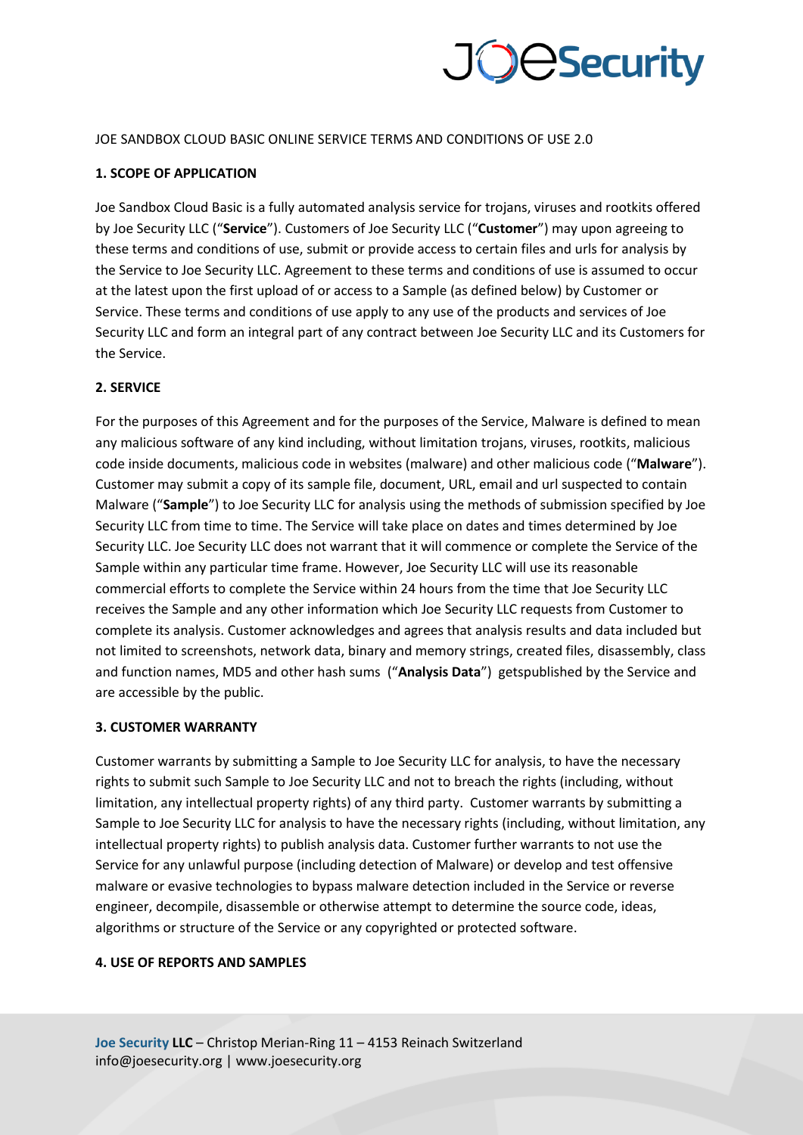

#### JOE SANDBOX CLOUD BASIC ONLINE SERVICE TERMS AND CONDITIONS OF USE 2.0

#### **1. SCOPE OF APPLICATION**

Joe Sandbox Cloud Basic is a fully automated analysis service for trojans, viruses and rootkits offered by Joe Security LLC ("**Service**"). Customers of Joe Security LLC ("**Customer**") may upon agreeing to these terms and conditions of use, submit or provide access to certain files and urls for analysis by the Service to Joe Security LLC. Agreement to these terms and conditions of use is assumed to occur at the latest upon the first upload of or access to a Sample (as defined below) by Customer or Service. These terms and conditions of use apply to any use of the products and services of Joe Security LLC and form an integral part of any contract between Joe Security LLC and its Customers for the Service.

#### **2. SERVICE**

For the purposes of this Agreement and for the purposes of the Service, Malware is defined to mean any malicious software of any kind including, without limitation trojans, viruses, rootkits, malicious code inside documents, malicious code in websites (malware) and other malicious code ("**Malware**"). Customer may submit a copy of its sample file, document, URL, email and url suspected to contain Malware ("**Sample**") to Joe Security LLC for analysis using the methods of submission specified by Joe Security LLC from time to time. The Service will take place on dates and times determined by Joe Security LLC. Joe Security LLC does not warrant that it will commence or complete the Service of the Sample within any particular time frame. However, Joe Security LLC will use its reasonable commercial efforts to complete the Service within 24 hours from the time that Joe Security LLC receives the Sample and any other information which Joe Security LLC requests from Customer to complete its analysis. Customer acknowledges and agrees that analysis results and data included but not limited to screenshots, network data, binary and memory strings, created files, disassembly, class and function names, MD5 and other hash sums ("**Analysis Data**") getspublished by the Service and are accessible by the public.

#### **3. CUSTOMER WARRANTY**

Customer warrants by submitting a Sample to Joe Security LLC for analysis, to have the necessary rights to submit such Sample to Joe Security LLC and not to breach the rights (including, without limitation, any intellectual property rights) of any third party. Customer warrants by submitting a Sample to Joe Security LLC for analysis to have the necessary rights (including, without limitation, any intellectual property rights) to publish analysis data. Customer further warrants to not use the Service for any unlawful purpose (including detection of Malware) or develop and test offensive malware or evasive technologies to bypass malware detection included in the Service or reverse engineer, decompile, disassemble or otherwise attempt to determine the source code, ideas, algorithms or structure of the Service or any copyrighted or protected software.

#### **4. USE OF REPORTS AND SAMPLES**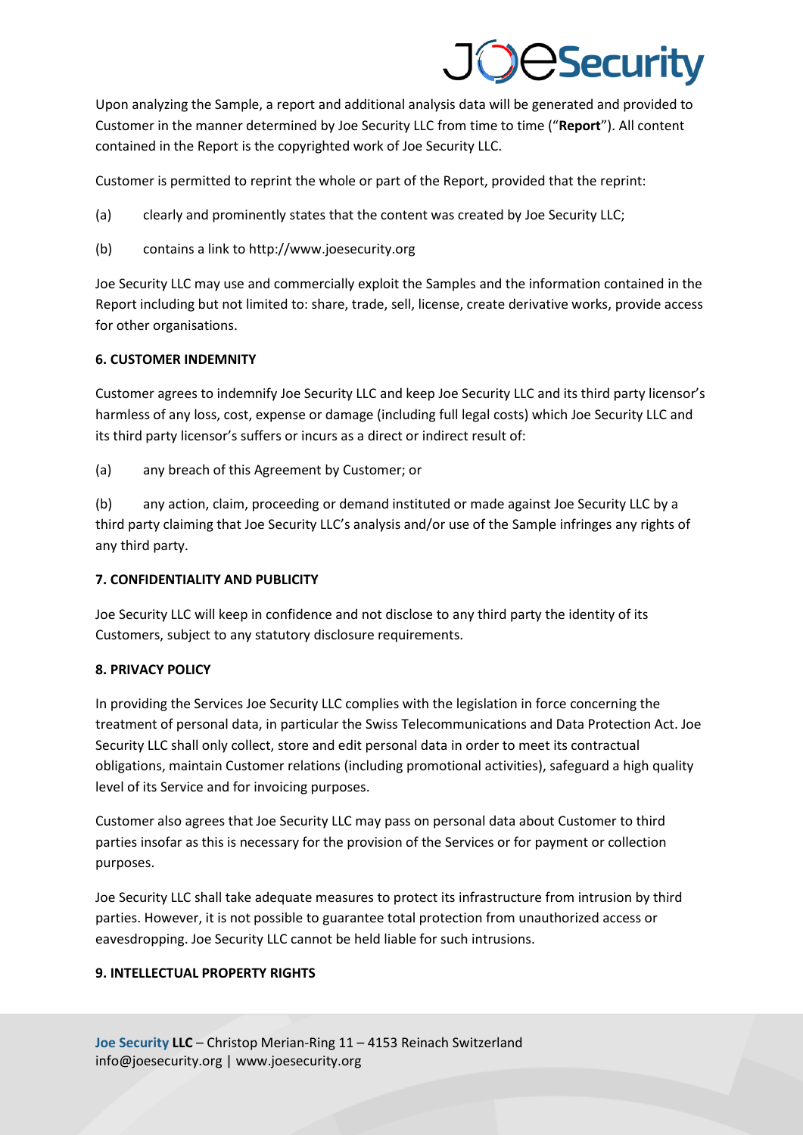# **JeSecurity**

Upon analyzing the Sample, a report and additional analysis data will be generated and provided to Customer in the manner determined by Joe Security LLC from time to time ("**Report**"). All content contained in the Report is the copyrighted work of Joe Security LLC.

Customer is permitted to reprint the whole or part of the Report, provided that the reprint:

- (a) clearly and prominently states that the content was created by Joe Security LLC;
- (b) contains a link to http://www.joesecurity.org

Joe Security LLC may use and commercially exploit the Samples and the information contained in the Report including but not limited to: share, trade, sell, license, create derivative works, provide access for other organisations.

## **6. CUSTOMER INDEMNITY**

Customer agrees to indemnify Joe Security LLC and keep Joe Security LLC and its third party licensor's harmless of any loss, cost, expense or damage (including full legal costs) which Joe Security LLC and its third party licensor's suffers or incurs as a direct or indirect result of:

(a) any breach of this Agreement by Customer; or

(b) any action, claim, proceeding or demand instituted or made against Joe Security LLC by a third party claiming that Joe Security LLC's analysis and/or use of the Sample infringes any rights of any third party.

## **7. CONFIDENTIALITY AND PUBLICITY**

Joe Security LLC will keep in confidence and not disclose to any third party the identity of its Customers, subject to any statutory disclosure requirements.

## **8. PRIVACY POLICY**

In providing the Services Joe Security LLC complies with the legislation in force concerning the treatment of personal data, in particular the Swiss Telecommunications and Data Protection Act. Joe Security LLC shall only collect, store and edit personal data in order to meet its contractual obligations, maintain Customer relations (including promotional activities), safeguard a high quality level of its Service and for invoicing purposes.

Customer also agrees that Joe Security LLC may pass on personal data about Customer to third parties insofar as this is necessary for the provision of the Services or for payment or collection purposes.

Joe Security LLC shall take adequate measures to protect its infrastructure from intrusion by third parties. However, it is not possible to guarantee total protection from unauthorized access or eavesdropping. Joe Security LLC cannot be held liable for such intrusions.

## **9. INTELLECTUAL PROPERTY RIGHTS**

**Joe Security LLC** – Christop Merian-Ring 11 – 4153 Reinach Switzerland info@joesecurity.org | www.joesecurity.org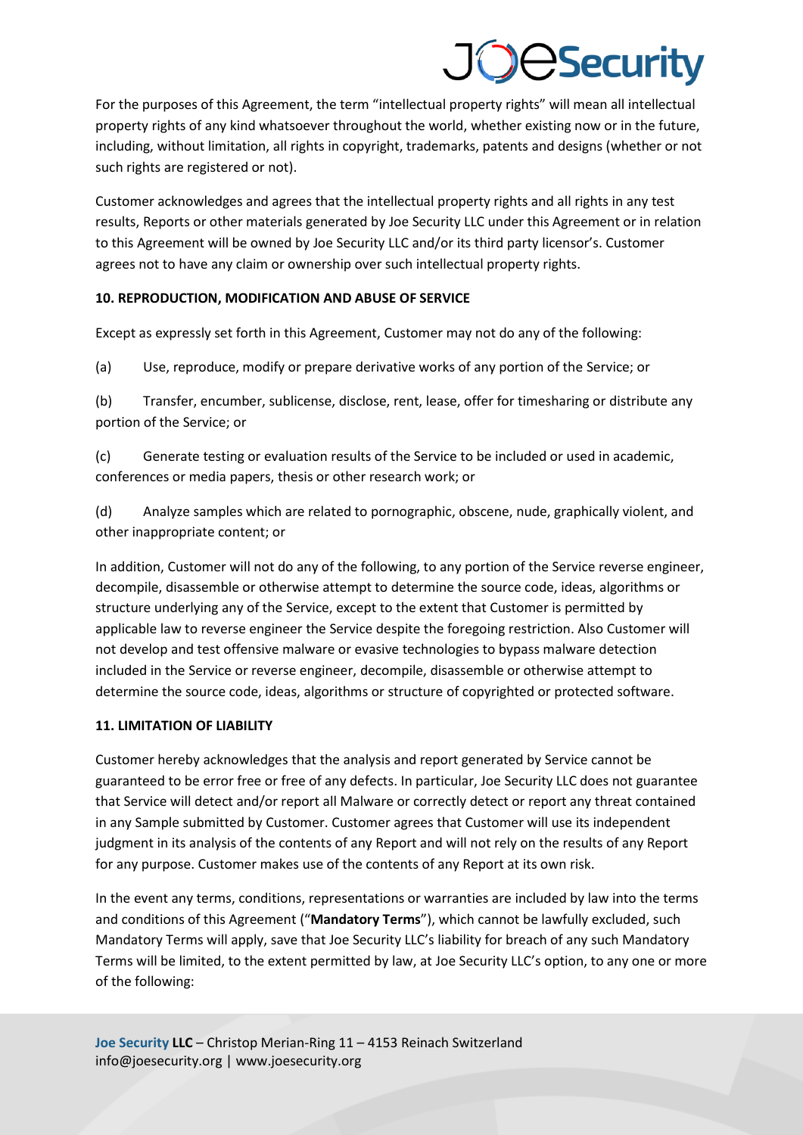# **OeSecurity**

For the purposes of this Agreement, the term "intellectual property rights" will mean all intellectual property rights of any kind whatsoever throughout the world, whether existing now or in the future, including, without limitation, all rights in copyright, trademarks, patents and designs (whether or not such rights are registered or not).

Customer acknowledges and agrees that the intellectual property rights and all rights in any test results, Reports or other materials generated by Joe Security LLC under this Agreement or in relation to this Agreement will be owned by Joe Security LLC and/or its third party licensor's. Customer agrees not to have any claim or ownership over such intellectual property rights.

## **10. REPRODUCTION, MODIFICATION AND ABUSE OF SERVICE**

Except as expressly set forth in this Agreement, Customer may not do any of the following:

(a) Use, reproduce, modify or prepare derivative works of any portion of the Service; or

(b) Transfer, encumber, sublicense, disclose, rent, lease, offer for timesharing or distribute any portion of the Service; or

(c) Generate testing or evaluation results of the Service to be included or used in academic, conferences or media papers, thesis or other research work; or

(d) Analyze samples which are related to pornographic, obscene, nude, graphically violent, and other inappropriate content; or

In addition, Customer will not do any of the following, to any portion of the Service reverse engineer, decompile, disassemble or otherwise attempt to determine the source code, ideas, algorithms or structure underlying any of the Service, except to the extent that Customer is permitted by applicable law to reverse engineer the Service despite the foregoing restriction. Also Customer will not develop and test offensive malware or evasive technologies to bypass malware detection included in the Service or reverse engineer, decompile, disassemble or otherwise attempt to determine the source code, ideas, algorithms or structure of copyrighted or protected software.

## **11. LIMITATION OF LIABILITY**

Customer hereby acknowledges that the analysis and report generated by Service cannot be guaranteed to be error free or free of any defects. In particular, Joe Security LLC does not guarantee that Service will detect and/or report all Malware or correctly detect or report any threat contained in any Sample submitted by Customer. Customer agrees that Customer will use its independent judgment in its analysis of the contents of any Report and will not rely on the results of any Report for any purpose. Customer makes use of the contents of any Report at its own risk.

In the event any terms, conditions, representations or warranties are included by law into the terms and conditions of this Agreement ("**Mandatory Terms**"), which cannot be lawfully excluded, such Mandatory Terms will apply, save that Joe Security LLC's liability for breach of any such Mandatory Terms will be limited, to the extent permitted by law, at Joe Security LLC's option, to any one or more of the following:

**Joe Security LLC** – Christop Merian-Ring 11 – 4153 Reinach Switzerland info@joesecurity.org | www.joesecurity.org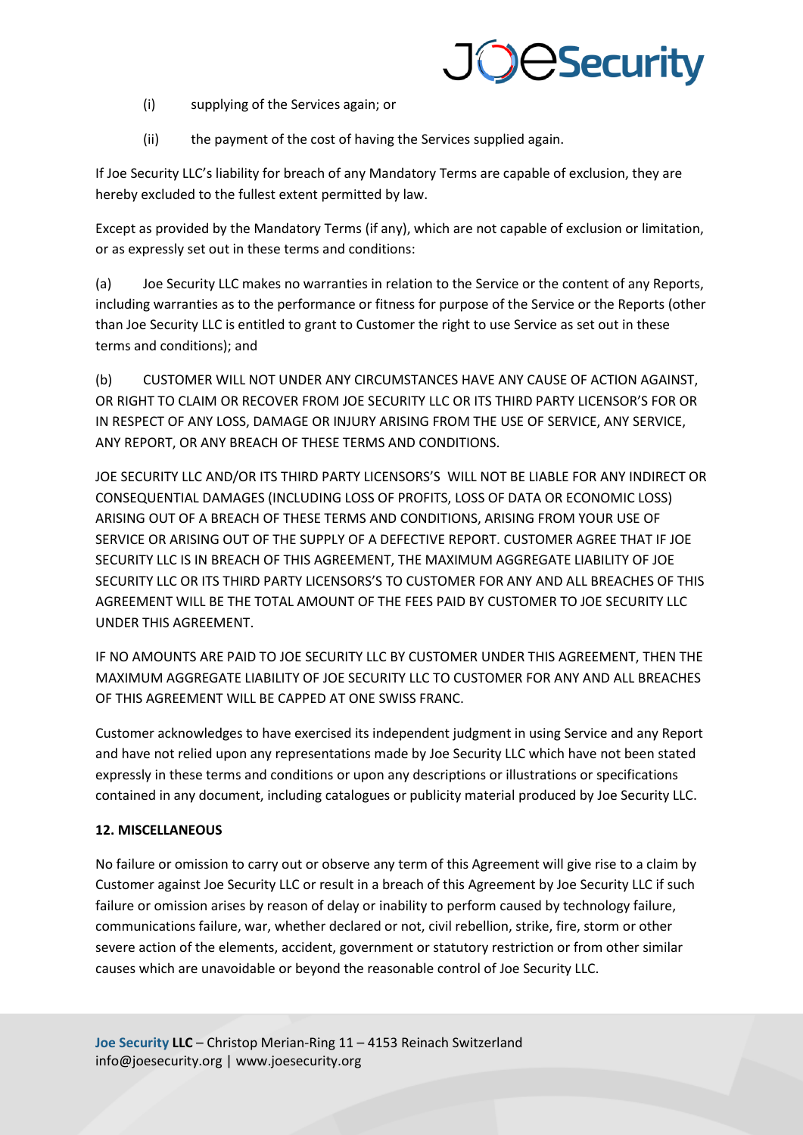## **JOBSecurity**

- (i) supplying of the Services again; or
- (ii) the payment of the cost of having the Services supplied again.

If Joe Security LLC's liability for breach of any Mandatory Terms are capable of exclusion, they are hereby excluded to the fullest extent permitted by law.

Except as provided by the Mandatory Terms (if any), which are not capable of exclusion or limitation, or as expressly set out in these terms and conditions:

(a) Joe Security LLC makes no warranties in relation to the Service or the content of any Reports, including warranties as to the performance or fitness for purpose of the Service or the Reports (other than Joe Security LLC is entitled to grant to Customer the right to use Service as set out in these terms and conditions); and

(b) CUSTOMER WILL NOT UNDER ANY CIRCUMSTANCES HAVE ANY CAUSE OF ACTION AGAINST, OR RIGHT TO CLAIM OR RECOVER FROM JOE SECURITY LLC OR ITS THIRD PARTY LICENSOR'S FOR OR IN RESPECT OF ANY LOSS, DAMAGE OR INJURY ARISING FROM THE USE OF SERVICE, ANY SERVICE, ANY REPORT, OR ANY BREACH OF THESE TERMS AND CONDITIONS.

JOE SECURITY LLC AND/OR ITS THIRD PARTY LICENSORS'S WILL NOT BE LIABLE FOR ANY INDIRECT OR CONSEQUENTIAL DAMAGES (INCLUDING LOSS OF PROFITS, LOSS OF DATA OR ECONOMIC LOSS) ARISING OUT OF A BREACH OF THESE TERMS AND CONDITIONS, ARISING FROM YOUR USE OF SERVICE OR ARISING OUT OF THE SUPPLY OF A DEFECTIVE REPORT. CUSTOMER AGREE THAT IF JOE SECURITY LLC IS IN BREACH OF THIS AGREEMENT, THE MAXIMUM AGGREGATE LIABILITY OF JOE SECURITY LLC OR ITS THIRD PARTY LICENSORS'S TO CUSTOMER FOR ANY AND ALL BREACHES OF THIS AGREEMENT WILL BE THE TOTAL AMOUNT OF THE FEES PAID BY CUSTOMER TO JOE SECURITY LLC UNDER THIS AGREEMENT.

IF NO AMOUNTS ARE PAID TO JOE SECURITY LLC BY CUSTOMER UNDER THIS AGREEMENT, THEN THE MAXIMUM AGGREGATE LIABILITY OF JOE SECURITY LLC TO CUSTOMER FOR ANY AND ALL BREACHES OF THIS AGREEMENT WILL BE CAPPED AT ONE SWISS FRANC.

Customer acknowledges to have exercised its independent judgment in using Service and any Report and have not relied upon any representations made by Joe Security LLC which have not been stated expressly in these terms and conditions or upon any descriptions or illustrations or specifications contained in any document, including catalogues or publicity material produced by Joe Security LLC.

## **12. MISCELLANEOUS**

No failure or omission to carry out or observe any term of this Agreement will give rise to a claim by Customer against Joe Security LLC or result in a breach of this Agreement by Joe Security LLC if such failure or omission arises by reason of delay or inability to perform caused by technology failure, communications failure, war, whether declared or not, civil rebellion, strike, fire, storm or other severe action of the elements, accident, government or statutory restriction or from other similar causes which are unavoidable or beyond the reasonable control of Joe Security LLC.